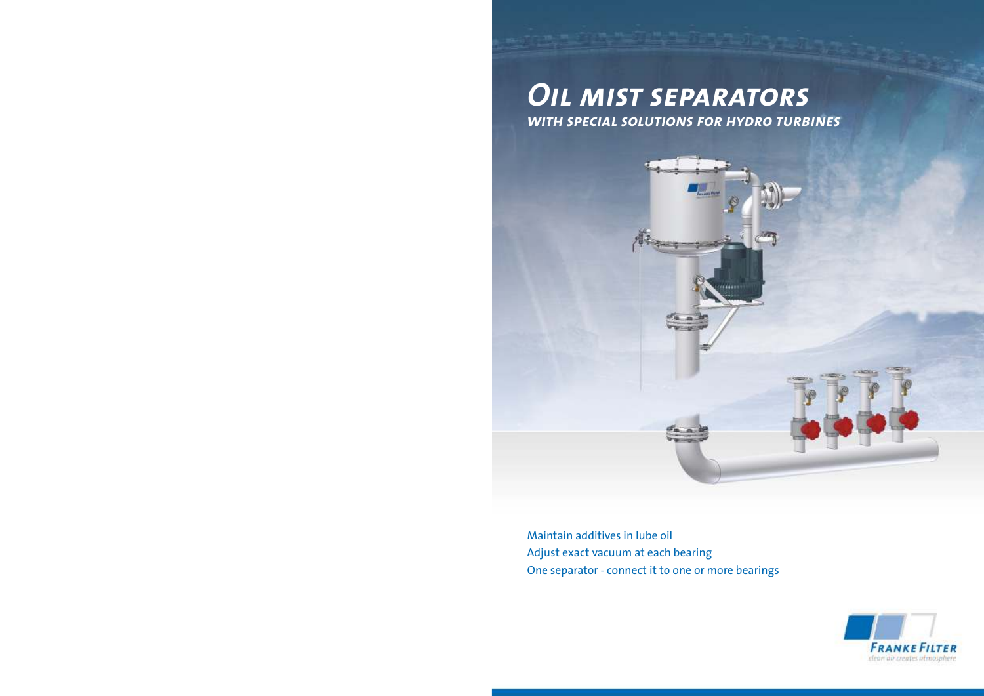## *Oil mist separators with special solutions for hydro turbines*



Maintain additives in lube oil Adjust exact vacuum at each bearing One separator - connect it to one or more bearings

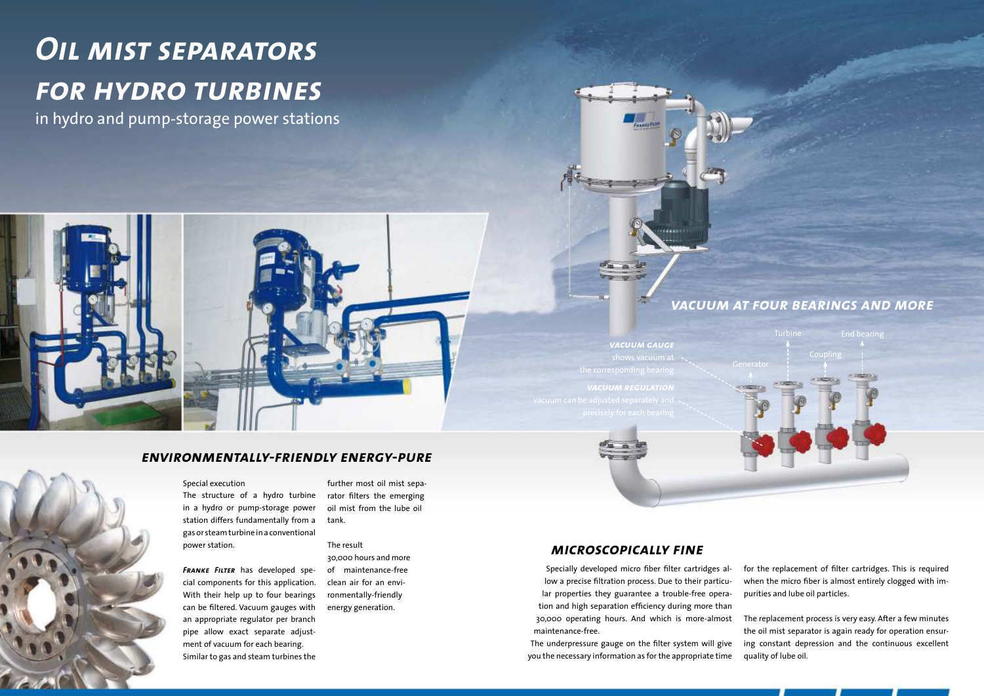## Special execution

The structure of a hydro turbine in a hydro or pump-storage power station differs fundamentally from a gas or steam turbine in a conventional power station.

*Franke Filter* has developed special components for this application. With their help up to four bearings can be filtered. Vacuum gauges with an appropriate regulator per branch pipe allow exact separate adjustment of vacuum for each bearing. Similar to gas and steam turbines the

further most oil mist separator filters the emerging oil mist from the lube oil tank.

#### The result

30,000 hours and more of maintenance-free clean air for an environmentally-friendly energy generation.

## *environmentally-friendly energy-pure*

Specially developed micro fiber filter cartridges allow a precise filtration process. Due to their particular properties they guarantee a trouble-free operation and high separation efficiency during more than

for the replacement of filter cartridges. This is required when the micro fiber is almost entirely clogged with impurities and lube oil particles.

30,000 operating hours. And which is more-almost maintenance-free. The underpressure gauge on the filter system will give you the necessary information as for the appropriate time The replacement process is very easy. After a few minutes the oil mist separator is again ready for operation ensuring constant depression and the continuous excellent quality of lube oil.

## *microscopically fine*



*vacuum gauge vacuum regulation*

m<sub>m</sub>



## *vacuum at four bearings and more*

# *Oil mist separators for hydro turbines*

in hydro and pump-storage power stations